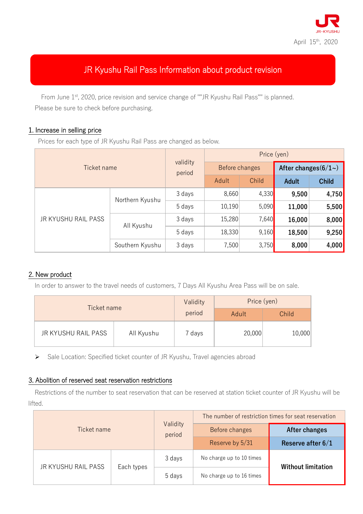

# JR Kyushu Rail Pass Information about product revision

From June 1<sup>st</sup>, 2020, price revision and service change of ""JR Kyushu Rail Pass"" is planned. Please be sure to check before purchasing.

#### 1. Increase in selling price

Prices for each type of JR Kyushu Rail Pass are changed as below.

| Ticket name         |                 | validity<br>period | Price (yen)    |       |                       |              |
|---------------------|-----------------|--------------------|----------------|-------|-----------------------|--------------|
|                     |                 |                    | Before changes |       | After changes $(6/1)$ |              |
|                     |                 |                    | Adult          | Child | <b>Adult</b>          | <b>Child</b> |
| JR KYUSHU RAIL PASS | Northern Kyushu | 3 days             | 8,660          | 4,330 | 9,500                 | 4,750        |
|                     |                 | 5 days             | 10,190         | 5,090 | 11,000                | 5,500        |
|                     | All Kyushu      | 3 days             | 15,280         | 7,640 | 16,000                | 8,000        |
|                     |                 | 5 days             | 18,330         | 9,160 | 18,500                | 9,250        |
|                     | Southern Kyushu | 3 days             | 7,500          | 3,750 | 8,000                 | 4,000        |

#### 2. New product

In order to answer to the travel needs of customers, 7 Days All Kyushu Area Pass will be on sale.

| Ticket name         | Validity   | Price (yen) |        |        |
|---------------------|------------|-------------|--------|--------|
|                     | period     | Adult       | Child  |        |
| JR KYUSHU RAIL PASS | All Kyushu | 7 days      | 20,000 | 10,000 |

Sale Location: Specified ticket counter of JR Kyushu, Travel agencies abroad

#### 3. Abolition of reserved seat reservation restrictions

Restrictions of the number to seat reservation that can be reserved at station ticket counter of JR Kyushu will be lifted.

| Ticket name         |            | Validity<br>period | The number of restriction times for seat reservation |                           |  |
|---------------------|------------|--------------------|------------------------------------------------------|---------------------------|--|
|                     |            |                    | Before changes                                       | After changes             |  |
|                     |            |                    | Reserve by 5/31                                      | Reserve after $6/1$       |  |
| JR KYUSHU RAIL PASS | Each types | 3 days             | No charge up to 10 times                             | <b>Without limitation</b> |  |
|                     |            | 5 days             | No charge up to 16 times                             |                           |  |